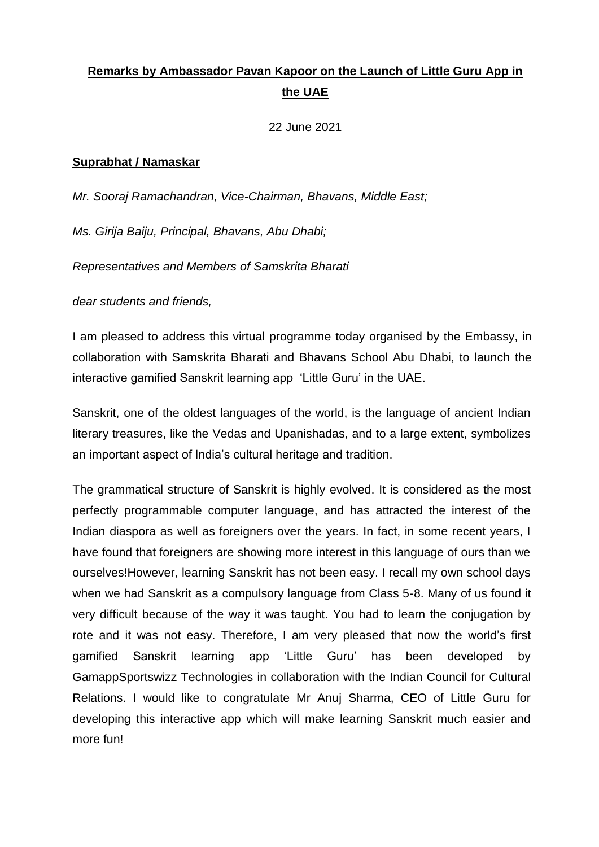## **Remarks by Ambassador Pavan Kapoor on the Launch of Little Guru App in the UAE**

22 June 2021

## **Suprabhat / Namaskar**

*Mr. Sooraj Ramachandran, Vice-Chairman, Bhavans, Middle East;*

*Ms. Girija Baiju, Principal, Bhavans, Abu Dhabi;*

*Representatives and Members of Samskrita Bharati*

*dear students and friends,* 

I am pleased to address this virtual programme today organised by the Embassy, in collaboration with Samskrita Bharati and Bhavans School Abu Dhabi, to launch the interactive gamified Sanskrit learning app 'Little Guru' in the UAE.

Sanskrit, one of the oldest languages of the world, is the language of ancient Indian literary treasures, like the Vedas and Upanishadas, and to a large extent, symbolizes an important aspect of India's cultural heritage and tradition.

The grammatical structure of Sanskrit is highly evolved. It is considered as the most perfectly programmable computer language, and has attracted the interest of the Indian diaspora as well as foreigners over the years. In fact, in some recent years, I have found that foreigners are showing more interest in this language of ours than we ourselves!However, learning Sanskrit has not been easy. I recall my own school days when we had Sanskrit as a compulsory language from Class 5-8. Many of us found it very difficult because of the way it was taught. You had to learn the conjugation by rote and it was not easy. Therefore, I am very pleased that now the world's first gamified Sanskrit learning app 'Little Guru' has been developed by GamappSportswizz Technologies in collaboration with the Indian Council for Cultural Relations. I would like to congratulate Mr Anuj Sharma, CEO of Little Guru for developing this interactive app which will make learning Sanskrit much easier and more fun!